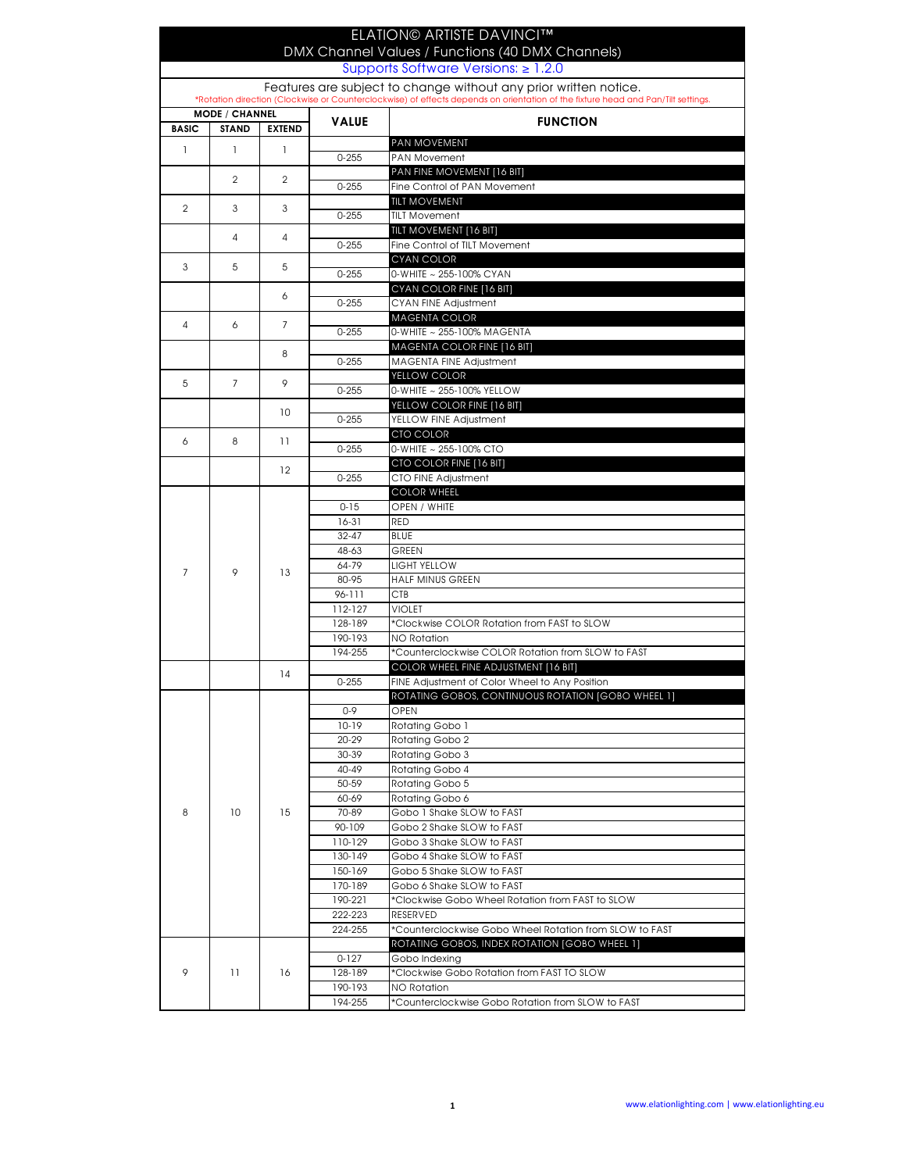|                                                                                                                                                                                                      |                       |                |                    | <b>ELATION© ARTISTE DAVINCI™</b>                                              |  |  |
|------------------------------------------------------------------------------------------------------------------------------------------------------------------------------------------------------|-----------------------|----------------|--------------------|-------------------------------------------------------------------------------|--|--|
| DMX Channel Values / Functions (40 DMX Channels)<br>Supports Software Versions: $\geq 1.2.0$                                                                                                         |                       |                |                    |                                                                               |  |  |
|                                                                                                                                                                                                      |                       |                |                    |                                                                               |  |  |
| Features are subject to change without any prior written notice.<br>*Rotation direction (Clockwise or Counterclockwise) of effects depends on orientation of the fixture head and Pan/Tilt settings. |                       |                |                    |                                                                               |  |  |
|                                                                                                                                                                                                      | <b>MODE / CHANNEL</b> |                |                    |                                                                               |  |  |
| <b>BASIC</b>                                                                                                                                                                                         | <b>STAND</b>          | <b>EXTEND</b>  | <b>VALUE</b>       | <b>FUNCTION</b>                                                               |  |  |
| $\mathbf{I}$                                                                                                                                                                                         | <sup>1</sup>          | 1              |                    | PAN MOVEMENT                                                                  |  |  |
|                                                                                                                                                                                                      |                       |                | $0 - 255$          | <b>PAN Movement</b><br>PAN FINE MOVEMENT [16 BIT]                             |  |  |
|                                                                                                                                                                                                      | $\overline{2}$        | 2              | $0 - 255$          | Fine Control of PAN Movement                                                  |  |  |
| $\overline{2}$                                                                                                                                                                                       |                       |                |                    | <b>TILT MOVEMENT</b>                                                          |  |  |
|                                                                                                                                                                                                      | 3                     | 3              | $0 - 255$          | <b>TILT Movement</b>                                                          |  |  |
|                                                                                                                                                                                                      | 4                     | 4              |                    | TILT MOVEMENT [16 BIT]                                                        |  |  |
|                                                                                                                                                                                                      |                       |                | $0 - 255$          | Fine Control of TILT Movement<br><b>CYAN COLOR</b>                            |  |  |
| 3                                                                                                                                                                                                    | 5                     | 5              | $0 - 255$          | 0-WHITE ~ 255-100% CYAN                                                       |  |  |
|                                                                                                                                                                                                      |                       |                |                    | CYAN COLOR FINE [16 BIT]                                                      |  |  |
|                                                                                                                                                                                                      |                       | 6              | $0 - 255$          | CYAN FINE Adjustment                                                          |  |  |
| 4                                                                                                                                                                                                    | 6                     | $\overline{7}$ |                    | <b>MAGENTA COLOR</b>                                                          |  |  |
|                                                                                                                                                                                                      |                       |                | $0 - 255$          | 0-WHITE ~ 255-100% MAGENTA<br>MAGENTA COLOR FINE [16 BIT]                     |  |  |
|                                                                                                                                                                                                      |                       | 8              | $0 - 255$          | <b>MAGENTA FINE Adjustment</b>                                                |  |  |
|                                                                                                                                                                                                      |                       |                |                    | YELLOW COLOR                                                                  |  |  |
| 5                                                                                                                                                                                                    | $\overline{7}$        | 9              | $0 - 255$          | 0-WHITE ~ 255-100% YELLOW                                                     |  |  |
|                                                                                                                                                                                                      |                       | 10             |                    | YELLOW COLOR FINE [16 BIT]                                                    |  |  |
|                                                                                                                                                                                                      |                       |                | $0 - 255$          | YELLOW FINE Adjustment                                                        |  |  |
| 6                                                                                                                                                                                                    | 8                     | 11             | $0 - 255$          | CTO COLOR<br>0-WHITE ~ 255-100% CTO                                           |  |  |
|                                                                                                                                                                                                      |                       |                |                    | CTO COLOR FINE [16 BIT]                                                       |  |  |
|                                                                                                                                                                                                      |                       | 12             | $0 - 255$          | CTO FINE Adjustment                                                           |  |  |
|                                                                                                                                                                                                      |                       |                |                    | <b>COLOR WHEEL</b>                                                            |  |  |
|                                                                                                                                                                                                      |                       |                | $0 - 15$           | OPEN / WHITE                                                                  |  |  |
|                                                                                                                                                                                                      |                       |                | 16-31<br>$32 - 47$ | <b>RED</b><br><b>BLUE</b>                                                     |  |  |
|                                                                                                                                                                                                      |                       |                | 48-63              | GREEN                                                                         |  |  |
|                                                                                                                                                                                                      |                       |                | 64-79              | LIGHT YELLOW                                                                  |  |  |
| $\overline{7}$                                                                                                                                                                                       | 9                     | 13             | 80-95              | <b>HALF MINUS GREEN</b>                                                       |  |  |
|                                                                                                                                                                                                      |                       |                | 96-111             | <b>CTB</b>                                                                    |  |  |
|                                                                                                                                                                                                      |                       |                | 112-127<br>128-189 | <b>VIOLET</b><br>*Clockwise COLOR Rotation from FAST to SLOW                  |  |  |
|                                                                                                                                                                                                      |                       |                | 190-193            | <b>NO Rotation</b>                                                            |  |  |
|                                                                                                                                                                                                      |                       |                | 194-255            | *Counterclockwise COLOR Rotation from SLOW to FAST                            |  |  |
|                                                                                                                                                                                                      |                       | 14             |                    | COLOR WHEEL FINE ADJUSTMENT [16 BIT]                                          |  |  |
|                                                                                                                                                                                                      |                       |                | $0 - 255$          | FINE Adjustment of Color Wheel to Any Position                                |  |  |
|                                                                                                                                                                                                      |                       |                |                    | ROTATING GOBOS, CONTINUOUS ROTATION [GOBO WHEEL 1]                            |  |  |
|                                                                                                                                                                                                      |                       |                | $0 - 9$<br>$10-19$ | OPEN<br>Rotating Gobo 1                                                       |  |  |
|                                                                                                                                                                                                      |                       |                | 20-29              | Rotating Gobo 2                                                               |  |  |
|                                                                                                                                                                                                      |                       |                | 30-39              | Rotating Gobo 3                                                               |  |  |
|                                                                                                                                                                                                      |                       |                | 40-49              | Rotating Gobo 4                                                               |  |  |
|                                                                                                                                                                                                      |                       |                | 50-59              | Rotating Gobo 5                                                               |  |  |
| 8                                                                                                                                                                                                    | 10                    | 15             | 60-69<br>70-89     | Rotating Gobo 6<br>Gobo 1 Shake SLOW to FAST                                  |  |  |
|                                                                                                                                                                                                      |                       |                | 90-109             | Gobo 2 Shake SLOW to FAST                                                     |  |  |
|                                                                                                                                                                                                      |                       |                | 110-129            | Gobo 3 Shake SLOW to FAST                                                     |  |  |
|                                                                                                                                                                                                      |                       |                | 130-149            | Gobo 4 Shake SLOW to FAST                                                     |  |  |
|                                                                                                                                                                                                      |                       |                | 150-169            | Gobo 5 Shake SLOW to FAST                                                     |  |  |
|                                                                                                                                                                                                      |                       |                | 170-189<br>190-221 | Gobo 6 Shake SLOW to FAST<br>*Clockwise Gobo Wheel Rotation from FAST to SLOW |  |  |
|                                                                                                                                                                                                      |                       |                | 222-223            | RESERVED                                                                      |  |  |
|                                                                                                                                                                                                      |                       |                | 224-255            | *Counterclockwise Gobo Wheel Rotation from SLOW to FAST                       |  |  |
|                                                                                                                                                                                                      | 11                    |                |                    | ROTATING GOBOS, INDEX ROTATION [GOBO WHEEL 1]                                 |  |  |
|                                                                                                                                                                                                      |                       | 16             | $0 - 127$          | Gobo Indexing                                                                 |  |  |
| 9                                                                                                                                                                                                    |                       |                | 128-189<br>190-193 | *Clockwise Gobo Rotation from FAST TO SLOW<br><b>NO Rotation</b>              |  |  |
|                                                                                                                                                                                                      |                       |                | 194-255            | *Counterclockwise Gobo Rotation from SLOW to FAST                             |  |  |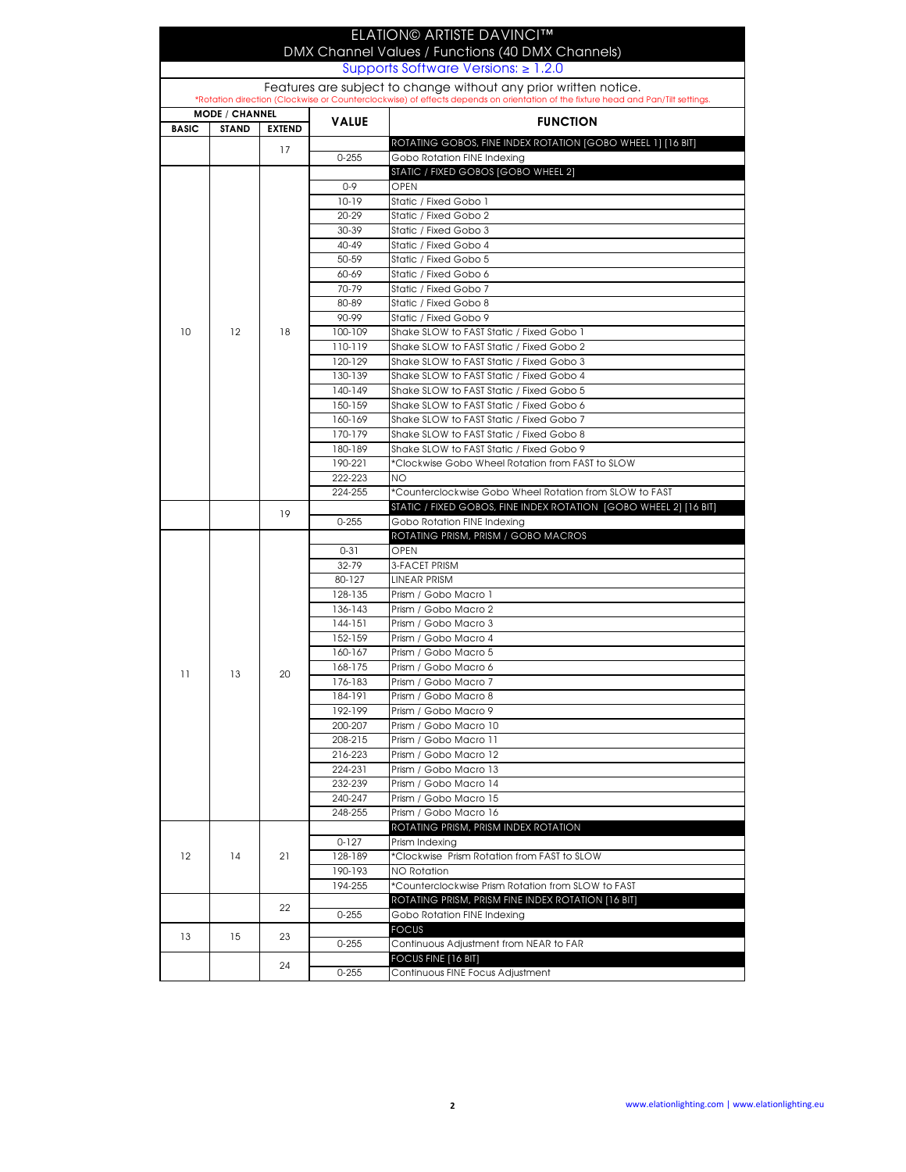|                   |                       |               |                    | ELATION© ARTISTE DAVINCI™                                                                                                                                                                            |
|-------------------|-----------------------|---------------|--------------------|------------------------------------------------------------------------------------------------------------------------------------------------------------------------------------------------------|
|                   |                       |               |                    | DMX Channel Values / Functions (40 DMX Channels)                                                                                                                                                     |
|                   |                       |               |                    | Supports Software Versions: $\geq 1.2.0$                                                                                                                                                             |
|                   |                       |               |                    | Features are subject to change without any prior written notice.<br>*Rotation direction (Clockwise or Counterclockwise) of effects depends on orientation of the fixture head and Pan/Tilt settings. |
|                   | <b>MODE / CHANNEL</b> |               |                    |                                                                                                                                                                                                      |
| <b>BASIC</b>      | <b>STAND</b>          | <b>EXTEND</b> | <b>VALUE</b>       | <b>FUNCTION</b>                                                                                                                                                                                      |
|                   |                       | 17            |                    | ROTATING GOBOS, FINE INDEX ROTATION [GOBO WHEEL 1] [16 BIT]                                                                                                                                          |
|                   |                       |               | $0 - 255$          | Gobo Rotation FINE Indexing<br>STATIC / FIXED GOBOS [GOBO WHEEL 2]                                                                                                                                   |
|                   |                       |               | $0 - 9$            | OPEN                                                                                                                                                                                                 |
|                   |                       |               | 10-19              | Static / Fixed Gobo 1                                                                                                                                                                                |
|                   |                       |               | 20-29              | Static / Fixed Gobo 2                                                                                                                                                                                |
|                   |                       |               | 30-39              | Static / Fixed Gobo 3                                                                                                                                                                                |
|                   |                       |               | 40-49              | Static / Fixed Gobo 4                                                                                                                                                                                |
|                   |                       |               | 50-59              | Static / Fixed Gobo 5                                                                                                                                                                                |
|                   |                       |               | 60-69              | Static / Fixed Gobo 6                                                                                                                                                                                |
|                   |                       |               | 70-79              | Static / Fixed Gobo 7                                                                                                                                                                                |
|                   |                       |               | 80-89<br>90-99     | Static / Fixed Gobo 8<br>Static / Fixed Gobo 9                                                                                                                                                       |
| 10                | 12                    | 18            | 100-109            | Shake SLOW to FAST Static / Fixed Gobo 1                                                                                                                                                             |
|                   |                       |               | 110-119            | Shake SLOW to FAST Static / Fixed Gobo 2                                                                                                                                                             |
|                   |                       |               | 120-129            | Shake SLOW to FAST Static / Fixed Gobo 3                                                                                                                                                             |
|                   |                       |               | 130-139            | Shake SLOW to FAST Static / Fixed Gobo 4                                                                                                                                                             |
|                   |                       |               | 140-149            | Shake SLOW to FAST Static / Fixed Gobo 5                                                                                                                                                             |
|                   |                       |               | 150-159            | Shake SLOW to FAST Static / Fixed Gobo 6                                                                                                                                                             |
|                   |                       |               | 160-169            | Shake SLOW to FAST Static / Fixed Gobo 7                                                                                                                                                             |
|                   |                       |               | 170-179            | Shake SLOW to FAST Static / Fixed Gobo 8                                                                                                                                                             |
|                   |                       |               | 180-189            | Shake SLOW to FAST Static / Fixed Gobo 9                                                                                                                                                             |
|                   |                       |               | 190-221            | *Clockwise Gobo Wheel Rotation from FAST to SLOW                                                                                                                                                     |
|                   |                       |               | 222-223            | <b>NO</b>                                                                                                                                                                                            |
|                   |                       |               | 224-255            | *Counterclockwise Gobo Wheel Rotation from SLOW to FAST                                                                                                                                              |
|                   |                       | 19            | $0 - 255$          | STATIC / FIXED GOBOS, FINE INDEX ROTATION [GOBO WHEEL 2] [16 BIT]                                                                                                                                    |
|                   |                       |               |                    | Gobo Rotation FINE Indexing<br>ROTATING PRISM, PRISM / GOBO MACROS                                                                                                                                   |
|                   |                       |               | $0 - 31$           | <b>OPEN</b>                                                                                                                                                                                          |
|                   |                       |               | 32-79              | 3-FACET PRISM                                                                                                                                                                                        |
|                   |                       |               | 80-127             | <b>LINEAR PRISM</b>                                                                                                                                                                                  |
|                   |                       |               | 128-135            | Prism / Gobo Macro 1                                                                                                                                                                                 |
|                   |                       |               | 136-143            | Prism / Gobo Macro 2                                                                                                                                                                                 |
|                   |                       |               | 144-151            | Prism / Gobo Macro 3                                                                                                                                                                                 |
|                   |                       |               | 152-159            | Prism / Gobo Macro 4                                                                                                                                                                                 |
|                   |                       |               | 160-167            | Prism / Gobo Macro 5                                                                                                                                                                                 |
| 11                | 13                    | 20            | 168-175            | Prism / Gobo Macro 6                                                                                                                                                                                 |
|                   |                       |               | 176-183            | Prism / Gobo Macro 7                                                                                                                                                                                 |
|                   |                       |               | 184-191            | Prism / Gobo Macro 8                                                                                                                                                                                 |
|                   |                       |               | 192-199            | Prism / Gobo Macro 9<br>Prism / Gobo Macro 10                                                                                                                                                        |
|                   |                       |               | 200-207<br>208-215 | Prism / Gobo Macro 11                                                                                                                                                                                |
|                   |                       |               | 216-223            | Prism / Gobo Macro 12                                                                                                                                                                                |
|                   |                       |               | 224-231            | Prism / Gobo Macro 13                                                                                                                                                                                |
|                   |                       |               | 232-239            | Prism / Gobo Macro 14                                                                                                                                                                                |
|                   |                       |               | 240-247            | Prism / Gobo Macro 15                                                                                                                                                                                |
|                   |                       |               | 248-255            | Prism / Gobo Macro 16                                                                                                                                                                                |
|                   |                       | 21            |                    | ROTATING PRISM, PRISM INDEX ROTATION                                                                                                                                                                 |
|                   |                       |               | $0 - 127$          | Prism Indexing                                                                                                                                                                                       |
| $12 \overline{ }$ | 14                    |               | 128-189            | *Clockwise Prism Rotation from FAST to SLOW                                                                                                                                                          |
|                   |                       |               | 190-193            | <b>NO Rotation</b>                                                                                                                                                                                   |
|                   |                       |               | 194-255            | *Counterclockwise Prism Rotation from SLOW to FAST                                                                                                                                                   |
|                   |                       | 22            |                    | ROTATING PRISM, PRISM FINE INDEX ROTATION [16 BIT]                                                                                                                                                   |
|                   |                       |               | $0 - 255$          | Gobo Rotation FINE Indexing                                                                                                                                                                          |
| 13                | 15                    | 23            |                    | <b>FOCUS</b>                                                                                                                                                                                         |
|                   |                       |               | $0 - 255$          | Continuous Adjustment from NEAR to FAR<br>FOCUS FINE [16 BIT]                                                                                                                                        |
|                   |                       | 24            | $0 - 255$          | Continuous FINE Focus Adjustment                                                                                                                                                                     |
|                   |                       |               |                    |                                                                                                                                                                                                      |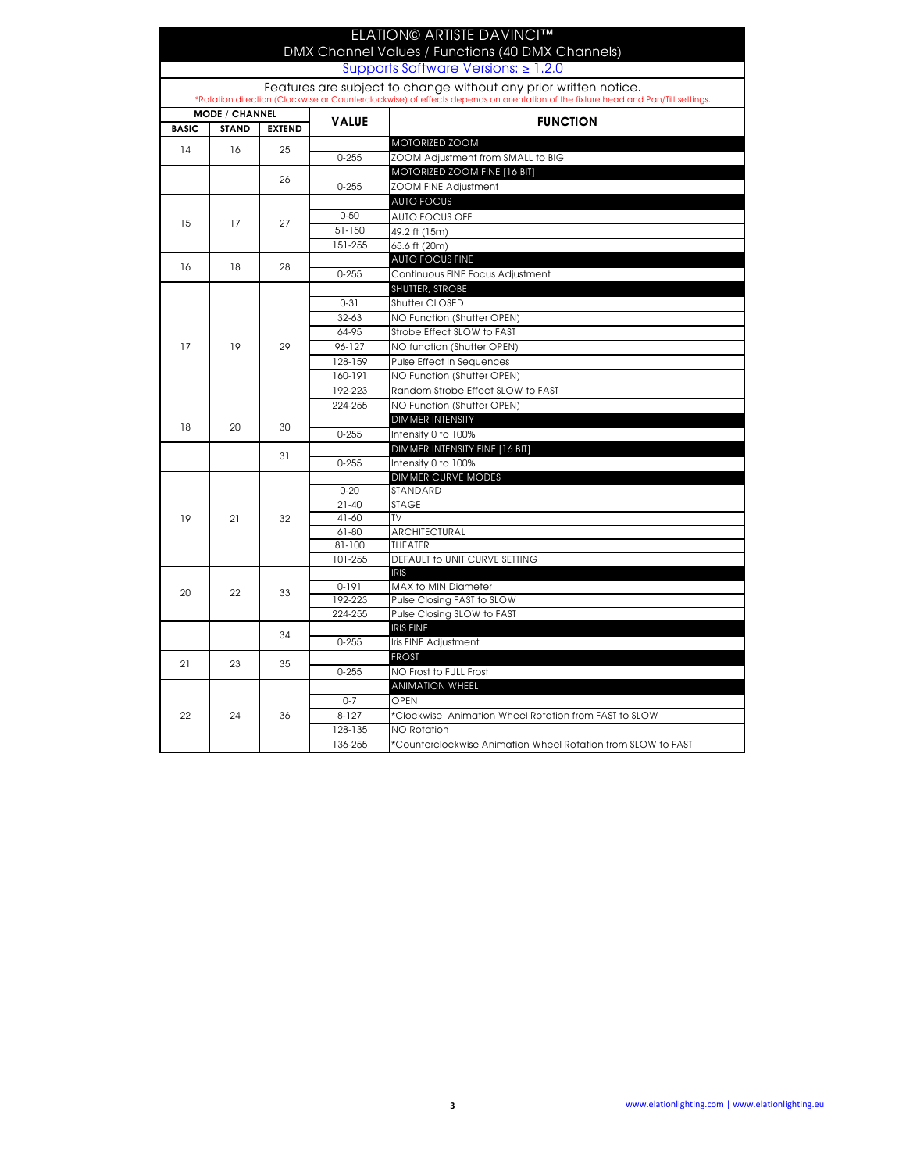|                                                                                                                                  |                       |               |              | <b>ELATION© ARTISTE DAVINCI™</b><br>DMX Channel Values / Functions (40 DMX Channels) |  |
|----------------------------------------------------------------------------------------------------------------------------------|-----------------------|---------------|--------------|--------------------------------------------------------------------------------------|--|
|                                                                                                                                  |                       |               |              | Supports Software Versions: ≥ 1.2.0                                                  |  |
|                                                                                                                                  |                       |               |              | Features are subject to change without any prior written notice.                     |  |
| *Rotation direction (Clockwise or Counterclockwise) of effects depends on orientation of the fixture head and Pan/Tilt settings. |                       |               |              |                                                                                      |  |
| <b>BASIC</b>                                                                                                                     | <b>MODE / CHANNEL</b> | <b>EXTEND</b> | <b>VALUE</b> | <b>FUNCTION</b>                                                                      |  |
|                                                                                                                                  | <b>STAND</b>          |               |              | MOTORIZED ZOOM                                                                       |  |
| 14                                                                                                                               | 16                    | 25<br>26      | $0 - 255$    | ZOOM Adjustment from SMALL to BIG                                                    |  |
|                                                                                                                                  |                       |               |              | MOTORIZED ZOOM FINE [16 BIT]                                                         |  |
|                                                                                                                                  |                       |               | $0 - 255$    | ZOOM FINE Adjustment                                                                 |  |
|                                                                                                                                  |                       |               |              | <b>AUTO FOCUS</b>                                                                    |  |
|                                                                                                                                  |                       |               | $0 - 50$     | <b>AUTO FOCUS OFF</b>                                                                |  |
| 15                                                                                                                               | 17                    | 27            | 51-150       | 49.2 ft (15m)                                                                        |  |
|                                                                                                                                  |                       |               | 151-255      | 65.6 ft (20m)                                                                        |  |
|                                                                                                                                  |                       |               |              | <b>AUTO FOCUS FINE</b>                                                               |  |
| 16                                                                                                                               | 18                    | 28            | $0 - 255$    | Continuous FINE Focus Adjustment                                                     |  |
|                                                                                                                                  |                       |               |              | <b>SHUTTER, STROBE</b>                                                               |  |
|                                                                                                                                  |                       |               | $0 - 31$     | Shutter CLOSED                                                                       |  |
|                                                                                                                                  |                       |               | $32 - 63$    | NO Function (Shutter OPEN)                                                           |  |
|                                                                                                                                  |                       |               | 64-95        | Strobe Effect SLOW to FAST                                                           |  |
| 17                                                                                                                               | 19                    | 29            | 96-127       | NO function (Shutter OPEN)                                                           |  |
|                                                                                                                                  |                       |               | 128-159      | Pulse Effect In Sequences                                                            |  |
|                                                                                                                                  |                       |               | 160-191      | NO Function (Shutter OPEN)                                                           |  |
|                                                                                                                                  |                       |               | 192-223      | Random Strobe Effect SLOW to FAST                                                    |  |
|                                                                                                                                  |                       |               | 224-255      | NO Function (Shutter OPEN)                                                           |  |
|                                                                                                                                  |                       |               |              | <b>DIMMER INTENSITY</b>                                                              |  |
| 18                                                                                                                               | 20                    | 30            | $0 - 255$    | Intensity 0 to 100%                                                                  |  |
|                                                                                                                                  |                       |               |              | DIMMER INTENSITY FINE [16 BIT]                                                       |  |
|                                                                                                                                  |                       | 31            | $0 - 255$    | Intensity 0 to 100%                                                                  |  |
|                                                                                                                                  | 21                    |               |              | <b>DIMMER CURVE MODES</b>                                                            |  |
|                                                                                                                                  |                       | 32            | $0 - 20$     | STANDARD                                                                             |  |
|                                                                                                                                  |                       |               | $21 - 40$    | <b>STAGE</b>                                                                         |  |
| 19                                                                                                                               |                       |               | $41 - 60$    | TV                                                                                   |  |
|                                                                                                                                  |                       |               | $61 - 80$    | ARCHITECTURAL                                                                        |  |
|                                                                                                                                  |                       |               | $81 - 100$   | <b>THEATER</b>                                                                       |  |
|                                                                                                                                  |                       |               | 101-255      | DEFAULT to UNIT CURVE SETTING<br><b>IRIS</b>                                         |  |
| 20                                                                                                                               | 22                    | 33            | $0-191$      | <b>MAX to MIN Diameter</b>                                                           |  |
|                                                                                                                                  |                       |               | 192-223      | Pulse Closing FAST to SLOW                                                           |  |
|                                                                                                                                  |                       |               | 224-255      | Pulse Closing SLOW to FAST                                                           |  |
|                                                                                                                                  |                       | 34            |              | <b>IRIS FINE</b>                                                                     |  |
|                                                                                                                                  |                       |               | $0 - 255$    | Iris FINE Adjustment                                                                 |  |
| 21                                                                                                                               | 23                    | 35            |              | <b>FROST</b>                                                                         |  |
|                                                                                                                                  |                       |               | $0 - 255$    | NO Frost to FULL Frost                                                               |  |
|                                                                                                                                  |                       |               |              | <b>ANIMATION WHEEL</b>                                                               |  |
|                                                                                                                                  | 24                    | 36            | $0 - 7$      | OPEN                                                                                 |  |
| 22                                                                                                                               |                       |               | $8 - 127$    | *Clockwise Animation Wheel Rotation from FAST to SLOW                                |  |
|                                                                                                                                  |                       |               | 128-135      | <b>NO Rotation</b>                                                                   |  |
|                                                                                                                                  |                       |               | 136-255      | *Counterclockwise Animation Wheel Rotation from SLOW to FAST                         |  |